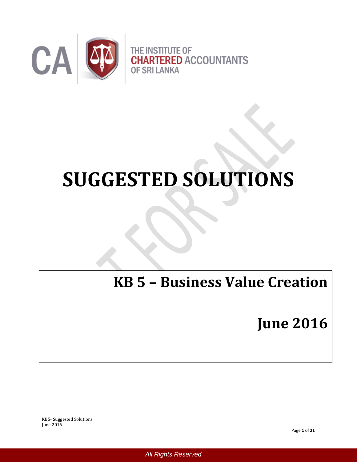

# **SUGGESTED SOLUTIONS**

# **KB 5 – Business Value Creation**

**June 2016**

KB5- Suggested Solutions June 2016

 *All Rights Reserved*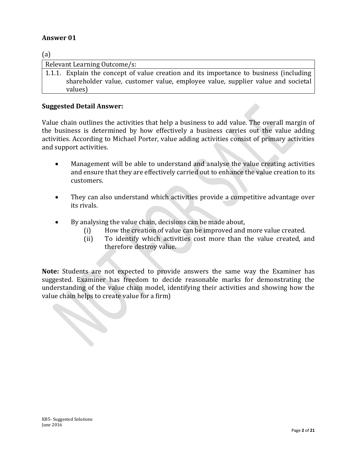$\epsilon$ 

| (a) |                                                                                                                                                                                     |
|-----|-------------------------------------------------------------------------------------------------------------------------------------------------------------------------------------|
|     | Relevant Learning Outcome/s:                                                                                                                                                        |
|     | 1.1.1. Explain the concept of value creation and its importance to business (including<br>shareholder value, customer value, employee value, supplier value and societal<br>values) |

#### **Suggested Detail Answer:**

Value chain outlines the activities that help a business to add value. The overall margin of the business is determined by how effectively a business carries out the value adding activities. According to Michael Porter, value adding activities consist of primary activities and support activities.

- Management will be able to understand and analyse the value creating activities and ensure that they are effectively carried out to enhance the value creation to its customers.
- They can also understand which activities provide a competitive advantage over its rivals.
- By analysing the value chain, decisions can be made about,
	- (i) How the creation of value can be improved and more value created.
	- (ii) To identify which activities cost more than the value created, and therefore destroy value.

**Note:** Students are not expected to provide answers the same way the Examiner has suggested. Examiner has freedom to decide reasonable marks for demonstrating the understanding of the value chain model, identifying their activities and showing how the value chain helps to create value for a firm)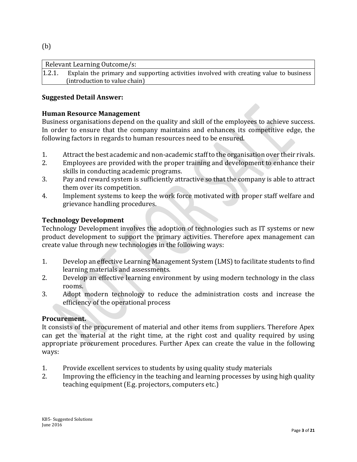(b)

|        | Relevant Learning Outcome/s:                                                           |
|--------|----------------------------------------------------------------------------------------|
| 1.2.1. | Explain the primary and supporting activities involved with creating value to business |
|        | (introduction to value chain)                                                          |

## **Suggested Detail Answer:**

## **Human Resource Management**

Business organisations depend on the quality and skill of the employees to achieve success. In order to ensure that the company maintains and enhances its competitive edge, the following factors in regards to human resources need to be ensured.

- 1. Attract the best academic and non-academic staff to the organisation over their rivals.
- 2. Employees are provided with the proper training and development to enhance their skills in conducting academic programs.
- 3. Pay and reward system is sufficiently attractive so that the company is able to attract them over its competition.
- 4. Implement systems to keep the work force motivated with proper staff welfare and grievance handling procedures.

#### **Technology Development**

Technology Development involves the adoption of technologies such as IT systems or new product development to support the primary activities. Therefore apex management can create value through new technologies in the following ways:

- 1. Develop an effective Learning Management System (LMS) to facilitate students to find learning materials and assessments.
- 2. Develop an effective learning environment by using modern technology in the class rooms.
- 3. Adopt modern technology to reduce the administration costs and increase the efficiency of the operational process

#### **Procurement.**

It consists of the procurement of material and other items from suppliers. Therefore Apex can get the material at the right time, at the right cost and quality required by using appropriate procurement procedures. Further Apex can create the value in the following ways:

- 1. Provide excellent services to students by using quality study materials
- 2. Improving the efficiency in the teaching and learning processes by using high quality teaching equipment (E.g. projectors, computers etc.)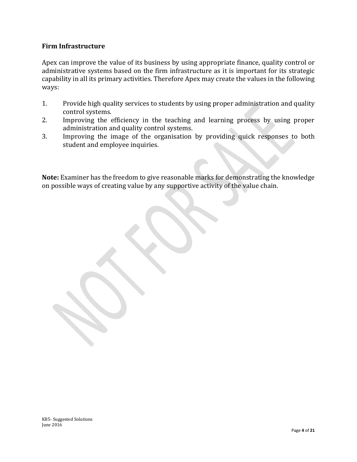# **Firm Infrastructure**

Apex can improve the value of its business by using appropriate finance, quality control or administrative systems based on the firm infrastructure as it is important for its strategic capability in all its primary activities. Therefore Apex may create the values in the following ways:

- 1. Provide high quality services to students by using proper administration and quality control systems.
- 2. Improving the efficiency in the teaching and learning process by using proper administration and quality control systems.
- 3. Improving the image of the organisation by providing quick responses to both student and employee inquiries.

**Note:** Examiner has the freedom to give reasonable marks for demonstrating the knowledge on possible ways of creating value by any supportive activity of the value chain.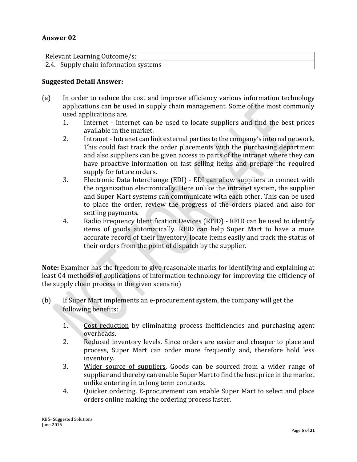| Relevant Learning Outcome/s:          |  |
|---------------------------------------|--|
| 2.4. Supply chain information systems |  |

#### **Suggested Detail Answer:**

- (a) In order to reduce the cost and improve efficiency various information technology applications can be used in supply chain management. Some of the most commonly used applications are,
	- 1. Internet Internet can be used to locate suppliers and find the best prices available in the market.
	- 2. Intranet Intranet can link external parties to the company's internal network. This could fast track the order placements with the purchasing department and also suppliers can be given access to parts of the intranet where they can have proactive information on fast selling items and prepare the required supply for future orders.
	- 3. Electronic Data Interchange (EDI) EDI can allow suppliers to connect with the organization electronically. Here unlike the intranet system, the supplier and Super Mart systems can communicate with each other. This can be used to place the order, review the progress of the orders placed and also for settling payments.
	- 4. Radio Frequency Identification Devices (RFID) RFID can be used to identify items of goods automatically. RFID can help Super Mart to have a more accurate record of their inventory, locate items easily and track the status of their orders from the point of dispatch by the supplier.

**Note:** Examiner has the freedom to give reasonable marks for identifying and explaining at least 04 methods of applications of information technology for improving the efficiency of the supply chain process in the given scenario)

- (b) If Super Mart implements an e-procurement system, the company will get the following benefits:
	- 1. Cost reduction by eliminating process inefficiencies and purchasing agent overheads.
	- 2. Reduced inventory levels. Since orders are easier and cheaper to place and process, Super Mart can order more frequently and, therefore hold less inventory.
	- 3. Wider source of suppliers. Goods can be sourced from a wider range of supplier and thereby can enable Super Mart to find the best price in the market unlike entering in to long term contracts.
	- 4. Quicker ordering. E-procurement can enable Super Mart to select and place orders online making the ordering process faster.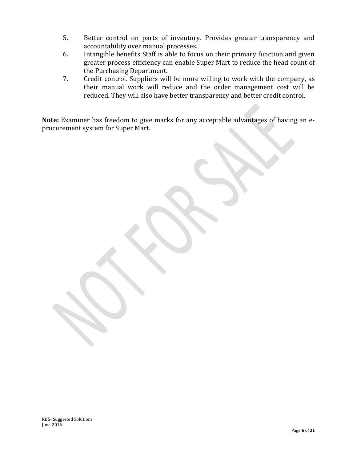- 5. Better control on parts of inventory. Provides greater transparency and accountability over manual processes.
- 6. Intangible benefits Staff is able to focus on their primary function and given greater process efficiency can enable Super Mart to reduce the head count of the Purchasing Department.
- 7. Credit control. Suppliers will be more willing to work with the company, as their manual work will reduce and the order management cost will be reduced. They will also have better transparency and better credit control.

**Note:** Examiner has freedom to give marks for any acceptable advantages of having an eprocurement system for Super Mart.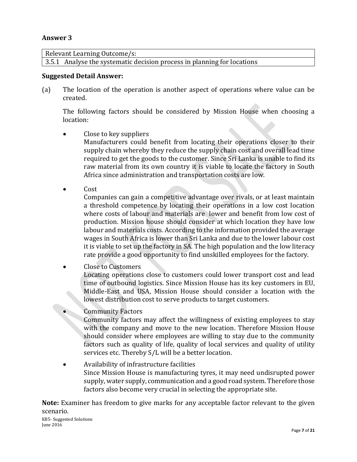Relevant Learning Outcome/s:

3.5.1 Analyse the systematic decision process in planning for locations

#### **Suggested Detail Answer:**

(a) The location of the operation is another aspect of operations where value can be created.

The following factors should be considered by Mission House when choosing a location:

- Close to key suppliers Manufacturers could benefit from locating their operations closer to their supply chain whereby they reduce the supply chain cost and overall lead time required to get the goods to the customer. Since Sri Lanka is unable to find its raw material from its own country it is viable to locate the factory in South Africa since administration and transportation costs are low.
- Cost

Companies can gain a competitive advantage over rivals, or at least maintain a threshold competence by locating their operations in a low cost location where costs of labour and materials are lower and benefit from low cost of production. Mission house should consider at which location they have low labour and materials costs. According to the information provided the average wages in South Africa is lower than Sri Lanka and due to the lower labour cost it is viable to set up the factory in SA. The high population and the low literacy rate provide a good opportunity to find unskilled employees for the factory.

 Close to Customers Locating operations close to customers could lower transport cost and lead time of outbound logistics. Since Mission House has its key customers in EU, Middle-East and USA, Mission House should consider a location with the lowest distribution cost to serve products to target customers.

- Community Factors Community factors may affect the willingness of existing employees to stay with the company and move to the new location. Therefore Mission House should consider where employees are willing to stay due to the community factors such as quality of life, quality of local services and quality of utility services etc. Thereby S/L will be a better location.
- Availability of infrastructure facilities Since Mission House is manufacturing tyres, it may need undisrupted power supply, water supply, communication and a good road system. Therefore those factors also become very crucial in selecting the appropriate site.

**Note:** Examiner has freedom to give marks for any acceptable factor relevant to the given scenario.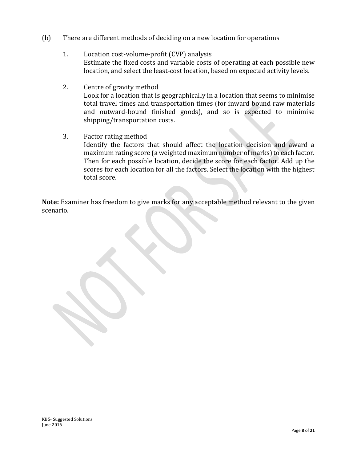- (b) There are different methods of deciding on a new location for operations
	- 1. Location cost-volume-profit (CVP) analysis Estimate the fixed costs and variable costs of operating at each possible new location, and select the least-cost location, based on expected activity levels.
	- 2. Centre of gravity method Look for a location that is geographically in a location that seems to minimise total travel times and transportation times (for inward bound raw materials and outward-bound finished goods), and so is expected to minimise shipping/transportation costs.
	- 3. Factor rating method

Identify the factors that should affect the location decision and award a maximum rating score (a weighted maximum number of marks) to each factor. Then for each possible location, decide the score for each factor. Add up the scores for each location for all the factors. Select the location with the highest total score.

**Note:** Examiner has freedom to give marks for any acceptable method relevant to the given scenario.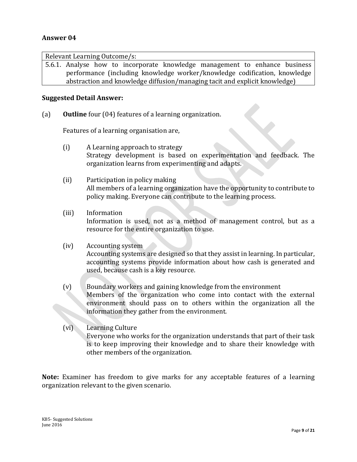Relevant Learning Outcome/s: 5.6.1. Analyse how to incorporate knowledge management to enhance business performance (including knowledge worker/knowledge codification, knowledge abstraction and knowledge diffusion/managing tacit and explicit knowledge)

#### **Suggested Detail Answer:**

(a) **Outline** four (04) features of a learning organization.

Features of a learning organisation are,

- (i) A Learning approach to strategy Strategy development is based on experimentation and feedback. The organization learns from experimenting and adapts.
- (ii) Participation in policy making All members of a learning organization have the opportunity to contribute to policy making. Everyone can contribute to the learning process.
- (iii) Information Information is used, not as a method of management control, but as a resource for the entire organization to use.
- (iv) Accounting system

Accounting systems are designed so that they assist in learning. In particular, accounting systems provide information about how cash is generated and used, because cash is a key resource.

- (v) Boundary workers and gaining knowledge from the environment Members of the organization who come into contact with the external environment should pass on to others within the organization all the information they gather from the environment.
- (vi) Learning Culture Everyone who works for the organization understands that part of their task is to keep improving their knowledge and to share their knowledge with other members of the organization.

**Note:** Examiner has freedom to give marks for any acceptable features of a learning organization relevant to the given scenario.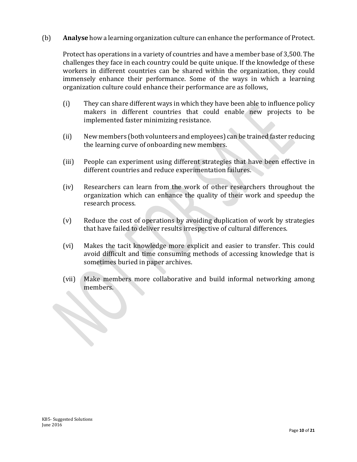(b) **Analyse** how a learning organization culture can enhance the performance of Protect.

Protect has operations in a variety of countries and have a member base of 3,500. The challenges they face in each country could be quite unique. If the knowledge of these workers in different countries can be shared within the organization, they could immensely enhance their performance. Some of the ways in which a learning organization culture could enhance their performance are as follows,

- (i) They can share different ways in which they have been able to influence policy makers in different countries that could enable new projects to be implemented faster minimizing resistance.
- (ii) New members (both volunteers and employees) can be trained faster reducing the learning curve of onboarding new members.
- (iii) People can experiment using different strategies that have been effective in different countries and reduce experimentation failures.
- (iv) Researchers can learn from the work of other researchers throughout the organization which can enhance the quality of their work and speedup the research process.
- (v) Reduce the cost of operations by avoiding duplication of work by strategies that have failed to deliver results irrespective of cultural differences.
- (vi) Makes the tacit knowledge more explicit and easier to transfer. This could avoid difficult and time consuming methods of accessing knowledge that is sometimes buried in paper archives.
- (vii) Make members more collaborative and build informal networking among members.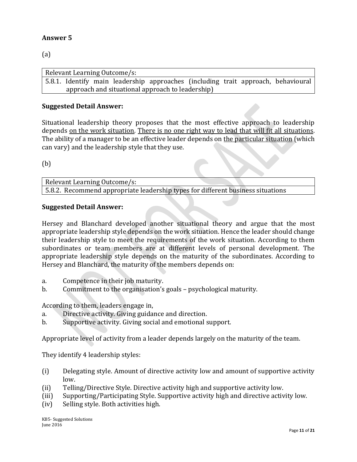(a)

Relevant Learning Outcome/s: 5.8.1. Identify main leadership approaches (including trait approach, behavioural approach and situational approach to leadership)

# **Suggested Detail Answer:**

Situational leadership theory proposes that the most effective approach to leadership depends on the work situation. There is no one right way to lead that will fit all situations. The ability of a manager to be an effective leader depends on the particular situation (which can vary) and the leadership style that they use.

(b)

Relevant Learning Outcome/s: 5.8.2. Recommend appropriate leadership types for different business situations

#### **Suggested Detail Answer:**

Hersey and Blanchard developed another situational theory and argue that the most appropriate leadership style depends on the work situation. Hence the leader should change their leadership style to meet the requirements of the work situation. According to them subordinates or team members are at different levels of personal development. The appropriate leadership style depends on the maturity of the subordinates. According to Hersey and Blanchard, the maturity of the members depends on:

- a. Competence in their job maturity.
- b. Commitment to the organisation's goals psychological maturity.

According to them, leaders engage in,

- a. Directive activity. Giving guidance and direction.
- b. Supportive activity. Giving social and emotional support.

Appropriate level of activity from a leader depends largely on the maturity of the team.

They identify 4 leadership styles:

- (i) Delegating style. Amount of directive activity low and amount of supportive activity low.
- (ii) Telling/Directive Style. Directive activity high and supportive activity low.
- (iii) Supporting/Participating Style. Supportive activity high and directive activity low.
- (iv) Selling style. Both activities high.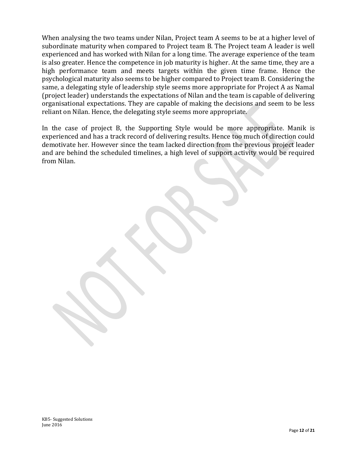When analysing the two teams under Nilan, Project team A seems to be at a higher level of subordinate maturity when compared to Project team B. The Project team A leader is well experienced and has worked with Nilan for a long time. The average experience of the team is also greater. Hence the competence in job maturity is higher. At the same time, they are a high performance team and meets targets within the given time frame. Hence the psychological maturity also seems to be higher compared to Project team B. Considering the same, a delegating style of leadership style seems more appropriate for Project A as Namal (project leader) understands the expectations of Nilan and the team is capable of delivering organisational expectations. They are capable of making the decisions and seem to be less reliant on Nilan. Hence, the delegating style seems more appropriate.

In the case of project B, the Supporting Style would be more appropriate. Manik is experienced and has a track record of delivering results. Hence too much of direction could demotivate her. However since the team lacked direction from the previous project leader and are behind the scheduled timelines, a high level of support activity would be required from Nilan.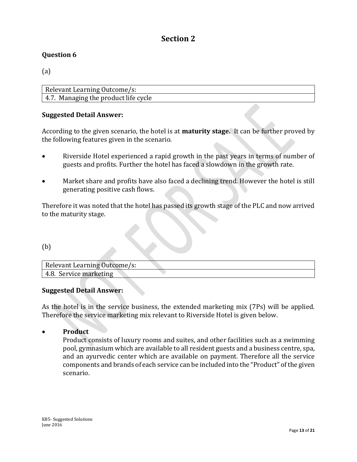# **Section 2**

# **Question 6**

(a)

| Relevant Learning Outcome/s:         |  |  |
|--------------------------------------|--|--|
| 4.7. Managing the product life cycle |  |  |

# **Suggested Detail Answer:**

According to the given scenario, the hotel is at **maturity stage.** It can be further proved by the following features given in the scenario.

- Riverside Hotel experienced a rapid growth in the past years in terms of number of guests and profits. Further the hotel has faced a slowdown in the growth rate.
- Market share and profits have also faced a declining trend. However the hotel is still generating positive cash flows.

Therefore it was noted that the hotel has passed its growth stage of the PLC and now arrived to the maturity stage.

#### (b)

| Relevant Learning Outcome/s: |  |
|------------------------------|--|
| 4.8. Service marketing       |  |

#### **Suggested Detail Answer:**

As the hotel is in the service business, the extended marketing mix (7Ps) will be applied. Therefore the service marketing mix relevant to Riverside Hotel is given below.

#### **•** Product

Product consists of luxury rooms and suites, and other facilities such as a swimming pool, gymnasium which are available to all resident guests and a business centre, spa, and an ayurvedic center which are available on payment. Therefore all the service components and brands of each service can be included into the "Product" of the given scenario.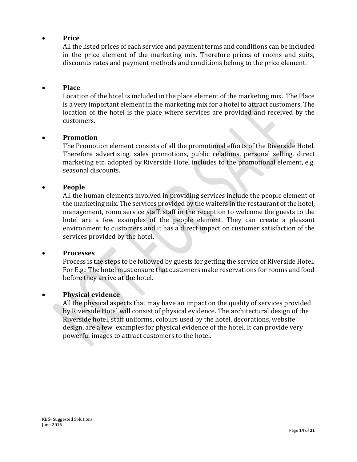# **Price**

All the listed prices of each service and payment terms and conditions can be included in the price element of the marketing mix. Therefore prices of rooms and suits, discounts rates and payment methods and conditions belong to the price element.

#### **Place**

Location of the hotel is included in the place element of the marketing mix. The Place is a very important element in the marketing mix for a hotel to attract customers. The location of the hotel is the place where services are provided and received by the customers.

#### **Promotion**

The Promotion element consists of all the promotional efforts of the Riverside Hotel. Therefore advertising, sales promotions, public relations, personal selling, direct marketing etc. adopted by Riverside Hotel includes to the promotional element, e.g. seasonal discounts.

#### **People**

All the human elements involved in providing services include the people element of the marketing mix. The services provided by the waiters in the restaurant of the hotel, management, room service staff, staff in the reception to welcome the guests to the hotel are a few examples of the people element. They can create a pleasant environment to customers and it has a direct impact on customer satisfaction of the services provided by the hotel.

#### **Processes**

Process is the steps to be followed by guests for getting the service of Riverside Hotel. For E.g.: The hotel must ensure that customers make reservations for rooms and food before they arrive at the hotel.

#### **Physical evidence**

All the physical aspects that may have an impact on the quality of services provided by Riverside Hotel will consist of physical evidence. The architectural design of the Riverside hotel, staff uniforms, colours used by the hotel, decorations, website design, are a few examples for physical evidence of the hotel. It can provide very powerful images to attract customers to the hotel.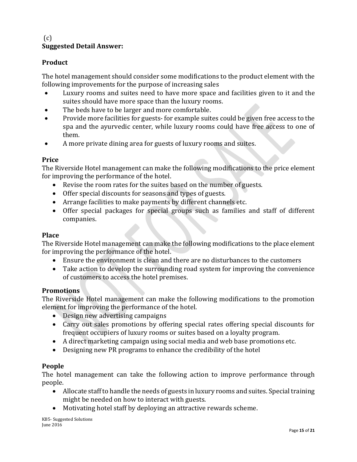# $(c)$ **Suggested Detail Answer:**

# **Product**

The hotel management should consider some modifications to the product element with the following improvements for the purpose of increasing sales

- Luxury rooms and suites need to have more space and facilities given to it and the suites should have more space than the luxury rooms.
- The beds have to be larger and more comfortable.
- Provide more facilities for guests- for example suites could be given free access to the spa and the ayurvedic center, while luxury rooms could have free access to one of them.
- A more private dining area for guests of luxury rooms and suites.

# **Price**

The Riverside Hotel management can make the following modifications to the price element for improving the performance of the hotel.

- Revise the room rates for the suites based on the number of guests.
- Offer special discounts for seasons and types of guests.
- Arrange facilities to make payments by different channels etc.
- Offer special packages for special groups such as families and staff of different companies.

# **Place**

The Riverside Hotel management can make the following modifications to the place element for improving the performance of the hotel.

- Ensure the environment is clean and there are no disturbances to the customers
- Take action to develop the surrounding road system for improving the convenience of customers to access the hotel premises.

#### **Promotions**

The Riverside Hotel management can make the following modifications to the promotion element for improving the performance of the hotel.

- Design new advertising campaigns
- Carry out sales promotions by offering special rates offering special discounts for frequent occupiers of luxury rooms or suites based on a loyalty program.
- A direct marketing campaign using social media and web base promotions etc.
- Designing new PR programs to enhance the credibility of the hotel

#### **People**

The hotel management can take the following action to improve performance through people.

- Allocate staff to handle the needs of guests in luxury rooms and suites. Special training might be needed on how to interact with guests.
- Motivating hotel staff by deploying an attractive rewards scheme.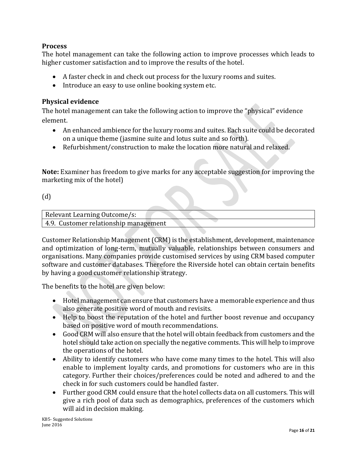# **Process**

The hotel management can take the following action to improve processes which leads to higher customer satisfaction and to improve the results of the hotel.

- A faster check in and check out process for the luxury rooms and suites.
- Introduce an easy to use online booking system etc.

# **Physical evidence**

The hotel management can take the following action to improve the "physical" evidence element.

- An enhanced ambience for the luxury rooms and suites. Each suite could be decorated on a unique theme (jasmine suite and lotus suite and so forth).
- Refurbishment/construction to make the location more natural and relaxed.

**Note:** Examiner has freedom to give marks for any acceptable suggestion for improving the marketing mix of the hotel)

(d)

| Relevant Learning Outcome/s:          |  |
|---------------------------------------|--|
| 4.9. Customer relationship management |  |

Customer Relationship Management (CRM) is the establishment, development, maintenance and optimization of long-term, mutually valuable, relationships between consumers and organisations. Many companies provide customised services by using CRM based computer software and customer databases. Therefore the Riverside hotel can obtain certain benefits by having a good customer relationship strategy.

The benefits to the hotel are given below:

- Hotel management can ensure that customers have a memorable experience and thus also generate positive word of mouth and revisits.
- Help to boost the reputation of the hotel and further boost revenue and occupancy based on positive word of mouth recommendations.
- Good CRM will also ensure that the hotel will obtain feedback from customers and the hotel should take action on specially the negative comments. This will help to improve the operations of the hotel.
- Ability to identify customers who have come many times to the hotel. This will also enable to implement loyalty cards, and promotions for customers who are in this category. Further their choices/preferences could be noted and adhered to and the check in for such customers could be handled faster.
- Further good CRM could ensure that the hotel collects data on all customers. This will give a rich pool of data such as demographics, preferences of the customers which will aid in decision making.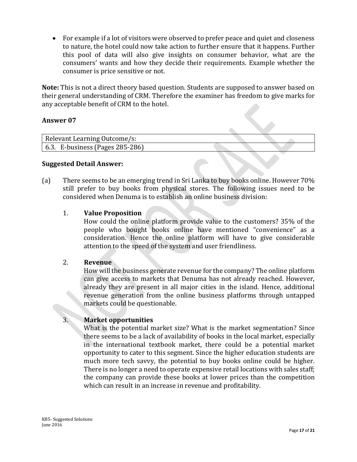For example if a lot of visitors were observed to prefer peace and quiet and closeness to nature, the hotel could now take action to further ensure that it happens. Further this pool of data will also give insights on consumer behavior, what are the consumers' wants and how they decide their requirements. Example whether the consumer is price sensitive or not.

**Note:** This is not a direct theory based question. Students are supposed to answer based on their general understanding of CRM. Therefore the examiner has freedom to give marks for any acceptable benefit of CRM to the hotel.

# **Answer 07**

| Relevant Learning Outcome/s:            |  |  |
|-----------------------------------------|--|--|
| $\vert$ 6.3. E-business (Pages 285-286) |  |  |

#### **Suggested Detail Answer:**

(a) There seems to be an emerging trend in Sri Lanka to buy books online. However 70% still prefer to buy books from physical stores. The following issues need to be considered when Denuma is to establish an online business division:

## 1. **Value Proposition**

How could the online platform provide value to the customers? 35% of the people who bought books online have mentioned "convenience" as a consideration. Hence the online platform will have to give considerable attention to the speed of the system and user friendliness.

 $\mathcal{L}_{\mathcal{N}}$ 

#### 2. **Revenue**

How will the business generate revenue for the company? The online platform can give access to markets that Denuma has not already reached. However, already they are present in all major cities in the island. Hence, additional revenue generation from the online business platforms through untapped markets could be questionable.

# 3. **Market opportunities**

What is the potential market size? What is the market segmentation? Since there seems to be a lack of availability of books in the local market, especially in the international textbook market, there could be a potential market opportunity to cater to this segment. Since the higher education students are much more tech savvy, the potential to buy books online could be higher. There is no longer a need to operate expensive retail locations with sales staff; the company can provide these books at lower prices than the competition which can result in an increase in revenue and profitability.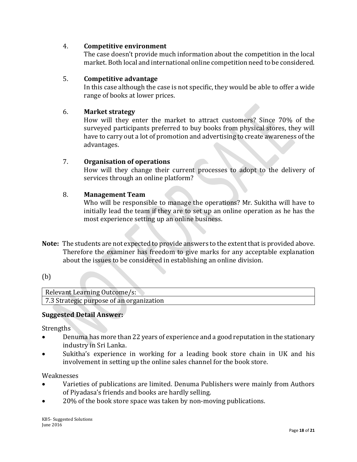# 4. **Competitive environment**

The case doesn't provide much information about the competition in the local market. Both local and international online competition need to be considered.

# 5. **Competitive advantage**

In this case although the case is not specific, they would be able to offer a wide range of books at lower prices.

# 6. **Market strategy**

How will they enter the market to attract customers? Since 70% of the surveyed participants preferred to buy books from physical stores, they will have to carry out a lot of promotion and advertising to create awareness of the advantages.

# 7. **Organisation of operations**

How will they change their current processes to adopt to the delivery of services through an online platform?

# 8. **Management Team**

Who will be responsible to manage the operations? Mr. Sukitha will have to initially lead the team if they are to set up an online operation as he has the most experience setting up an online business.

**Note:** The students are not expected to provide answers to the extent that is provided above. Therefore the examiner has freedom to give marks for any acceptable explanation about the issues to be considered in establishing an online division.

# (b)

| Relevant Learning Outcome/s:             |
|------------------------------------------|
| 7.3 Strategic purpose of an organization |

# **Suggested Detail Answer:**

Strengths

- Denuma has more than 22 years of experience and a good reputation in the stationary industry in Sri Lanka.
- Sukitha's experience in working for a leading book store chain in UK and his involvement in setting up the online sales channel for the book store.

Weaknesses

- Varieties of publications are limited. Denuma Publishers were mainly from Authors of Piyadasa's friends and books are hardly selling.
- 20% of the book store space was taken by non-moving publications.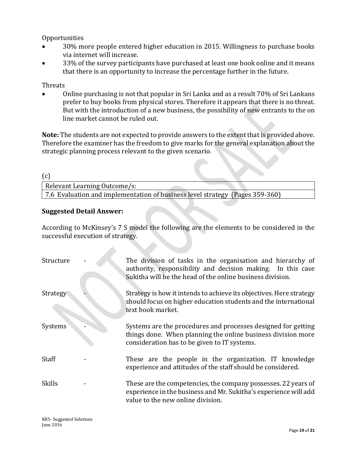Opportunities

- 30% more people entered higher education in 2015. Willingness to purchase books via internet will increase.
- 33% of the survey participants have purchased at least one book online and it means that there is an opportunity to increase the percentage further in the future.

Threats

 Online purchasing is not that popular in Sri Lanka and as a result 70% of Sri Lankans prefer to buy books from physical stores. Therefore it appears that there is no threat. But with the introduction of a new business, the possibility of new entrants to the on line market cannot be ruled out.

**Note:** The students are not expected to provide answers to the extent that is provided above. Therefore the examiner has the freedom to give marks for the general explanation about the strategic planning process relevant to the given scenario.

(c)

Relevant Learning Outcome/s: 7.6 Evaluation and implementation of business level strategy (Pages 359-360)

# **Suggested Detail Answer:**

According to McKinsey's 7 S model the following are the elements to be considered in the successful execution of strategy.

| Structure     | The division of tasks in the organisation and hierarchy of<br>authority, responsibility and decision making. In this case<br>Sukitha will be the head of the online business division. |
|---------------|----------------------------------------------------------------------------------------------------------------------------------------------------------------------------------------|
| Strategy      | Strategy is how it intends to achieve its objectives. Here strategy<br>should focus on higher education students and the international<br>text book market.                            |
| Systems       | Systems are the procedures and processes designed for getting<br>things done. When planning the online business division more<br>consideration has to be given to IT systems.          |
| <b>Staff</b>  | These are the people in the organization. IT knowledge<br>experience and attitudes of the staff should be considered.                                                                  |
| <b>Skills</b> | These are the competencies, the company possesses. 22 years of<br>experience in the business and Mr. Sukitha's experience will add<br>value to the new online division.                |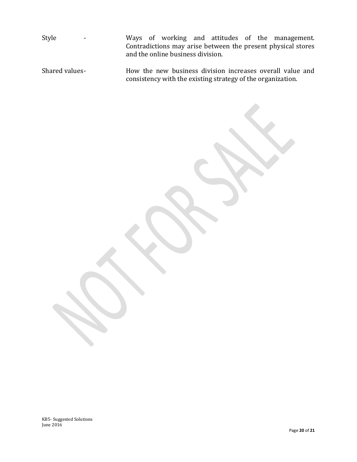Style - Ways of working and attitudes of the management. Contradictions may arise between the present physical stores and the online business division.

Shared values- How the new business division increases overall value and consistency with the existing strategy of the organization.

KB5- Suggested Solutions June 2016